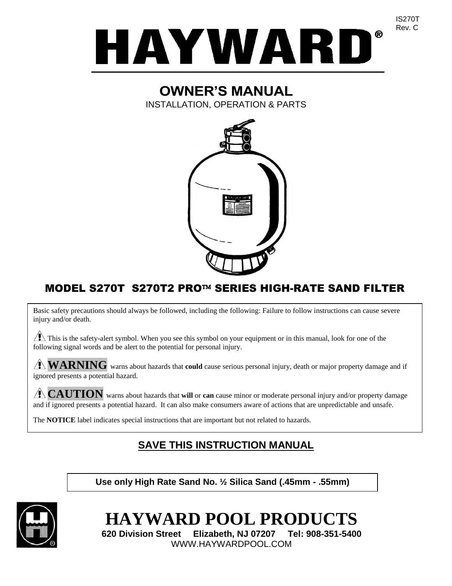

# **OWNER'S MANUAL**

INSTALLATION, OPERATION & PARTS



# MODEL S270T S270T2 PRO™ SERIES HIGH-RATE SAND FILTER

Basic safety precautions should always be followed, including the following: Failure to follow instructions can cause severe injury and/or death.

 $\sqrt{2}$  This is the safety-alert symbol. When you see this symbol on your equipment or in this manual, look for one of the following signal words and be alert to the potential for personal injury.

**WARNING** warns about hazards that **could** cause serious personal injury, death or major property damage and if ignored presents a potential hazard.

**CAUTION** warns about hazards that **will** or **can** cause minor or moderate personal injury and/or property damage and if ignored presents a potential hazard. It can also make consumers aware of actions that are unpredictable and unsafe.

The **NOTICE** label indicates special instructions that are important but not related to hazards.

# **SAVE THIS INSTRUCTION MANUAL**

**Use only High Rate Sand No. ½ Silica Sand (.45mm - .55mm)**



**HAYWARD POOL PRODUCTS**

**620 Division Street Elizabeth, NJ 07207 Tel: 908-351-5400** WWW.HAYWARDPOOL.COM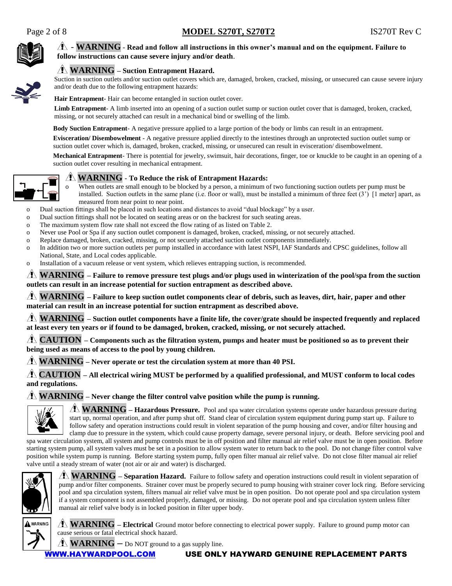

### - **WARNING** - **Read and follow all instructions in this owner's manual and on the equipment. Failure to follow instructions can cause severe injury and/or death**.



Suction in suction outlets and/or suction outlet covers which are, damaged, broken, cracked, missing, or unsecured can cause severe injury and/or death due to the following entrapment hazards:

**Hair Entrapment**- Hair can become entangled in suction outlet cover.

Limb Entrapment- A limb inserted into an opening of a suction outlet sump or suction outlet cover that is damaged, broken, cracked, missing, or not securely attached can result in a mechanical bind or swelling of the limb.

**Body Suction Entrapment**- A negative pressure applied to a large portion of the body or limbs can result in an entrapment.

**Evisceration/ Disembowelment** - A negative pressure applied directly to the intestines through an unprotected suction outlet sump or suction outlet cover which is, damaged, broken, cracked, missing, or unsecured can result in evisceration/ disembowelment.

**Mechanical Entrapment**- There is potential for jewelry, swimsuit, hair decorations, finger, toe or knuckle to be caught in an opening of a suction outlet cover resulting in mechanical entrapment.



#### **WARNING** - **To Reduce the risk of Entrapment Hazards:**

When outlets are small enough to be blocked by a person, a minimum of two functioning suction outlets per pump must be installed. Suction outlets in the same plane (i.e. floor or wall), must be installed a minimum of three feet (3') [1 meter] apart, as measured from near point to near point.

o Dual suction fittings shall be placed in such locations and distances to avoid "dual blockage" by a user.

- o Dual suction fittings shall not be located on seating areas or on the backrest for such seating areas.
- o The maximum system flow rate shall not exceed the flow rating of as listed on Table 2.
- o Never use Pool or Spa if any suction outlet component is damaged, broken, cracked, missing, or not securely attached.
- o Replace damaged, broken, cracked, missing, or not securely attached suction outlet components immediately.
- o In addition two or more suction outlets per pump installed in accordance with latest NSPI, IAF Standards and CPSC guidelines, follow all National, State, and Local codes applicable.
- o Installation of a vacuum release or vent system, which relieves entrapping suction, is recommended.

**WARNING – Failure to remove pressure test plugs and/or plugs used in winterization of the pool/spa from the suction outlets can result in an increase potential for suction entrapment as described above.**

**WARNING – Failure to keep suction outlet components clear of debris, such as leaves, dirt, hair, paper and other material can result in an increase potential for suction entrapment as described above.**

**WARNING – Suction outlet components have a finite life, the cover/grate should be inspected frequently and replaced at least every ten years or if found to be damaged, broken, cracked, missing, or not securely attached.**

**CAUTION – Components such as the filtration system, pumps and heater must be positioned so as to prevent their being used as means of access to the pool by young children.**

**WARNING – Never operate or test the circulation system at more than 40 PSI.**

**CAUTION – All electrical wiring MUST be performed by a qualified professional, and MUST conform to local codes and regulations.**

**WARNING – Never change the filter control valve position while the pump is running.**



**WARNING – Hazardous Pressure.** Pool and spa water circulation systems operate under hazardous pressure during start up, normal operation, and after pump shut off. Stand clear of circulation system equipment during pump start up. Failure to follow safety and operation instructions could result in violent separation of the pump housing and cover, and/or filter housing and clamp due to pressure in the system, which could cause property damage, severe personal injury, or death. Before servicing pool and

spa water circulation system, all system and pump controls must be in off position and filter manual air relief valve must be in open position. Before starting system pump, all system valves must be set in a position to allow system water to return back to the pool. Do not change filter control valve position while system pump is running. Before starting system pump, fully open filter manual air relief valve. Do not close filter manual air relief valve until a steady stream of water (not air or air and water) is discharged.



**WARNING – Separation Hazard.** Failure to follow safety and operation instructions could result in violent separation of pump and/or filter components. Strainer cover must be properly secured to pump housing with strainer cover lock ring. Before servicing pool and spa circulation system, filters manual air relief valve must be in open position. Do not operate pool and spa circulation system if a system component is not assembled properly, damaged, or missing. Do not operate pool and spa circulation system unless filter manual air relief valve body is in locked position in filter upper body.



**WARNING – Electrical** Ground motor before connecting to electrical power supply. Failure to ground pump motor can cause serious or fatal electrical shock hazard.

 $\sqrt{1}$  **WARNING** – Do NOT ground to a gas supply line.

## [WWW.HAYWARDPOOL.COM](http://www.haywardpool.com/) USE ONLY HAYWARD GENUINE REPLACEMENT PARTS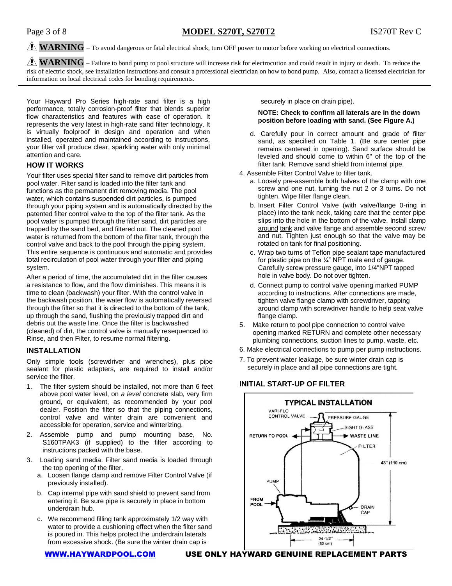# $\hat{A}$  **WARNING** – To avoid dangerous or fatal electrical shock, turn OFF power to motor before working on electrical connections.

**WARNING –** Failure to bond pump to pool structure will increase risk for electrocution and could result in injury or death. To reduce the risk of electric shock, see installation instructions and consult a professional electrician on how to bond pump. Also, contact a licensed electrician for information on local electrical codes for bonding requirements.

Your Hayward Pro Series high-rate sand filter is a high performance, totally corrosion-proof filter that blends superior flow characteristics and features with ease of operation. It represents the very latest in high-rate sand filter technology. It is virtually foolproof in design and operation and when installed, operated and maintained according to instructions, your filter will produce clear, sparkling water with only minimal attention and care.

## **HOW IT WORKS**

Your filter uses special filter sand to remove dirt particles from pool water. Filter sand is loaded into the filter tank and functions as the permanent dirt removing media. The pool water, which contains suspended dirt particles, is pumped through your piping system and is automatically directed by the patented filter control valve to the top of the filter tank. As the pool water is pumped through the filter sand, dirt particles are trapped by the sand bed, and filtered out. The cleaned pool water is returned from the bottom of the filter tank, through the control valve and back to the pool through the piping system. This entire sequence is continuous and automatic and provides total recirculation of pool water through your filter and piping system.

After a period of time, the accumulated dirt in the filter causes a resistance to flow, and the flow diminishes. This means it is time to clean (backwash) your filter. With the control valve in the backwash position, the water flow is automatically reversed through the filter so that it is directed to the bottom of the tank, up through the sand, flushing the previously trapped dirt and debris out the waste line. Once the filter is backwashed (cleaned) of dirt, the control valve is manually resequenced to Rinse, and then Filter, to resume normal filtering.

#### **INSTALLATION**

Only simple tools (screwdriver and wrenches), plus pipe sealant for plastic adapters, are required to install and/or service the filter.

- 1. The filter system should be installed, not more than 6 feet above pool water level, on *a level* concrete slab, very firm ground, or equivalent, as recommended by your pool dealer. Position the filter so that the piping connections, control valve and winter drain are convenient and accessible for operation, service and winterizing.
- 2. Assemble pump and pump mounting base, No. S160TPAK3 (if supplied) to the filter according to instructions packed with the base.
- 3. Loading sand media. Filter sand media is loaded through the top opening of the filter.
	- a. Loosen flange clamp and remove Filter Control Valve (if previously installed).
	- b. Cap internal pipe with sand shield to prevent sand from entering it. Be sure pipe is securely in place in bottom underdrain hub.
	- c. We recommend filling tank approximately 1/2 way with water to provide a cushioning effect when the filter sand is poured in. This helps protect the underdrain laterals from excessive shock. (Be sure the winter drain cap is

[WWW.HAYWARDPOOL.COM](http://www.haywardpool.com/) USE ONLY HAYWARD GENUINE REPLACEMENT PARTS

securely in place on drain pipe).

#### **NOTE: Check to confirm all laterals are in the down position before loading with sand. (See Figure A.)**

- d. Carefully pour in correct amount and grade of filter sand, as specified on Table 1. (Be sure center pipe remains centered in opening). Sand surface should be leveled and should come to within 6" of the top of the filter tank. Remove sand shield from internal pipe.
- 4. Assemble Filter Control Valve to filter tank.
	- a. Loosely pre-assemble both halves of the clamp with one screw and one nut, turning the nut 2 or 3 turns. Do not tighten. Wipe filter flange clean.
	- b. Insert Filter Control Valve (with valve/flange 0-ring in place) into the tank neck, taking care that the center pipe slips into the hole in the bottom of the valve. Install clamp around tank and valve flange and assemble second screw and nut. Tighten just enough so that the valve may be rotated on tank for final positioning.
	- c. Wrap two turns of Teflon pipe sealant tape manufactured for plastic pipe on the ¼" NPT male end of gauge. Carefully screw pressure gauge, into 1/4"NPT tapped hole in valve body. Do not over tighten.
	- d. Connect pump to control valve opening marked PUMP according to instructions. After connections are made, tighten valve flange clamp with screwdriver, tapping around clamp with screwdriver handle to help seat valve flange clamp.
- 5. Make return to pool pipe connection to control valve opening marked RETURN and complete other necessary plumbing connections, suction lines to pump, waste, etc.
- 6. Make electrical connections to pump per pump instructions.
- 7. To prevent water leakage, be sure winter drain cap is securely in place and all pipe connections are tight.

## **INITIAL START-UP OF FILTER**

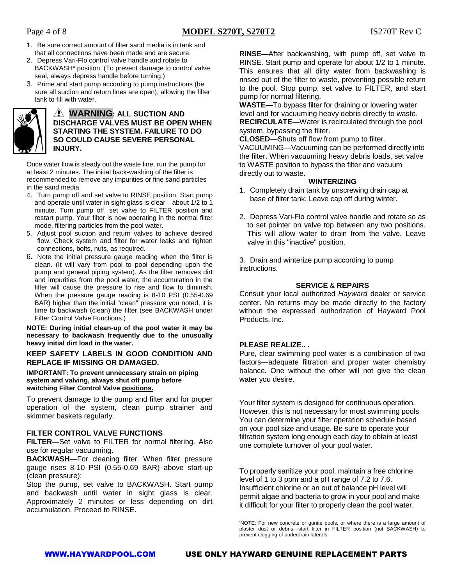- 1. Be sure correct amount of filter sand media is in tank and that all connections have been made and are secure.
- 2. Depress Vari-Flo control valve handle and rotate to BACKWASH\* position. (To prevent damage to control valve seal, always depress handle before turning.)
- 3. Prime and start pump according to pump instructions (be sure all suction and return lines are open), allowing the filter tank to fill with water.



## **WARNING: ALL SUCTION AND DISCHARGE VALVES MUST BE OPEN WHEN STARTING THE SYSTEM. FAILURE TO DO SO COULD CAUSE SEVERE PERSONAL INJURY.**

Once water flow is steady out the waste line, run the pump for at least 2 minutes. The initial back-washing of the filter is recommended to remove any impurities or fine sand particles in the sand media.

- 4. Turn pump off and set valve to RINSE position. Start pump and operate until water in sight glass is clear—about 1/2 to 1 minute. Turn pump off, set valve to FILTER position and restart pump. Your filter is now operating in the normal filter mode, filtering particles from the pool water.
- 5. Adjust pool suction and return valves to achieve desired flow. Check system and filter for water leaks and tighten connections, bolts, nuts, as required.
- 6. Note the initial pressure gauge reading when the filter is clean. (It will vary from pool to pool depending upon the pump and general piping system). As the filter removes dirt and impurities from the pool water, the accumulation in the filter will cause the pressure to rise and flow to diminish. When the pressure gauge reading is 8-10 PSI (0.55-0.69 BAR) higher than the initial "clean" pressure you noted, it is time to backwash (clean) the filter (see BACKWASH under Filter Control Valve Functions.)

**NOTE: During initial clean-up of the pool water it may be necessary to backwash frequently due to the unusually heavy initial dirt load in the water.**

## **KEEP SAFETY LABELS IN GOOD CONDITION AND REPLACE IF MISSING OR DAMAGED.**

#### **IMPORTANT: To prevent unnecessary strain on piping system and valving, always shut off pump before switching Filter Control Valve positions.**

To prevent damage to the pump and filter and for proper operation of the system, clean pump strainer and skimmer baskets regularly.

# **FILTER CONTROL VALVE FUNCTIONS**

**FILTER**—Set valve to FILTER for normal filtering. Also use for regular vacuuming.

**BACKWASH**—For cleaning filter. When filter pressure gauge rises 8-10 PSI (0.55-0.69 BAR) above start-up (clean pressure):

Stop the pump, set valve to BACKWASH. Start pump and backwash until water in sight glass is clear. Approximately 2 minutes or less depending on dirt accumulation. Proceed to RINSE.

**RINSE—**After backwashing, with pump off, set valve to RINSE. Start pump and operate for about 1/2 to 1 minute. This ensures that all dirty water from backwashing is rinsed out of the filter to waste, preventing possible return to the pool. Stop pump, set valve to FILTER, and start pump for normal filtering.

**WASTE—**To bypass filter for draining or lowering water level and for vacuuming heavy debris directly to waste. **RECIRCULATE**—Water is recirculated through the pool system, bypassing the filter.

**CLOSED**—Shuts off flow from pump to filter.

VACUUMING—Vacuuming can be performed directly into the filter. When vacuuming heavy debris loads, set valve to WASTE position to bypass the filter and vacuum directly out to waste.

## **WINTERIZING**

- 1. Completely drain tank by unscrewing drain cap at base of filter tank. Leave cap off during winter.
- 2. Depress Vari-Flo control valve handle and rotate so as to set pointer on valve top between any two positions. This will allow water to drain from the valve. Leave valve in this "inactive" position.

3. Drain and winterize pump according to pump instructions.

# **SERVICE** & **REPAIRS**

Consult your local authorized *Hayward* dealer or service center. No returns may be made directly to the factory without the expressed authorization of Hayward Pool Products, Inc.

# **PLEASE REALIZE.. .**

Pure, clear swimming pool water is a combination of two factors—adequate filtration and proper water chemistry balance. One without the other will not give the clean water you desire.

Your filter system is designed for continuous operation. However, this is not necessary for most swimming pools. You can determine your filter operation schedule based on your pool size and usage. Be sure to operate your filtration system long enough each day to obtain at least one complete turnover of your pool water.

To properly sanitize your pool, maintain a free chlorine level of 1 to 3 ppm and a pH range of 7.2 to 7.6. Insufficient chlorine or an out of balance pH level will permit algae and bacteria to grow in your pool and make it difficult for your filter to properly clean the pool water.

'NOTE: For new concrete or gunite pools, or where there is a large amount of plaster dust or debris—start filter in FILTER position (not BACKWASH) to prevent clogging of underdrain laterals.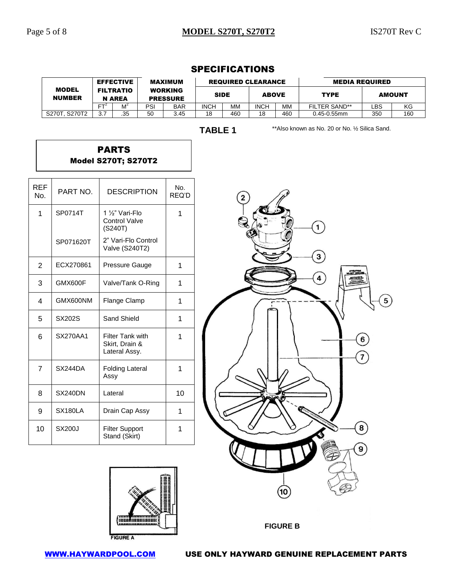# Page 5 of 8 **MODEL S270T, S270T2** IS270T Rev C

8

 $\boldsymbol{9}$ 

MODEL NUMBER EFFECTIVE FILTRATIO N AREA

MAXIMUM WORKING PRESSURE

|                   |                            | FT <sup>2</sup>  | M <sup>2</sup>                                           | PSI               | <b>BAR</b>   | <b>INCH</b>    | <b>MM</b> | <b>INCH</b> | MM         | FILTER SAND**                                   | LBS                 | KG  |
|-------------------|----------------------------|------------------|----------------------------------------------------------|-------------------|--------------|----------------|-----------|-------------|------------|-------------------------------------------------|---------------------|-----|
|                   | S270T, S270T2              | $\overline{3.7}$ | .35                                                      | 50                | 3.45         | 18             | 460       | 18          | 460        | $0.45 - 0.55$ mm                                | 350                 | 160 |
|                   |                            |                  |                                                          |                   |              | <b>TABLE 1</b> |           |             |            | ** Also known as No. 20 or No. 1/2 Silica Sand. |                     |     |
|                   | <b>Model S270T; S270T2</b> |                  | <b>PARTS</b>                                             |                   |              |                |           |             |            |                                                 |                     |     |
| <b>REF</b><br>No. | PART NO.                   |                  | <b>DESCRIPTION</b>                                       |                   | No.<br>REQ'D |                | 2         |             |            |                                                 |                     |     |
| 1                 | SP0714T                    |                  | 1 1/ <sub>2</sub> " Vari-Flo<br>Control Valve<br>(S240T) |                   | 1            |                |           |             |            | $\mathbf{1}$                                    |                     |     |
|                   | SP071620T                  |                  | 2" Vari-Flo Control<br><b>Valve (S240T2)</b>             |                   |              |                |           |             |            | $\mathbf{3}$                                    |                     |     |
| $\overline{2}$    | ECX270861                  |                  | Pressure Gauge                                           |                   | $\mathbf{1}$ |                |           |             |            |                                                 |                     |     |
| 3                 | GMX600F                    |                  |                                                          | Valve/Tank O-Ring | $\mathbf{1}$ |                |           |             |            | $\overline{\mathbf{A}}$                         |                     |     |
| 4                 | GMX600NM                   |                  | Flange Clamp                                             |                   | $\mathbf 1$  |                |           |             |            |                                                 | 5                   |     |
| 5                 | SX202S                     |                  | Sand Shield                                              |                   | $\mathbf{1}$ |                |           |             |            |                                                 |                     |     |
| $\,6$             | <b>SX270AA1</b>            |                  | Filter Tank with<br>Skirt, Drain &<br>Lateral Assy.      |                   | $\mathbf{1}$ |                |           |             |            |                                                 | 6<br>$\overline{7}$ |     |
| $\overline{7}$    | SX244DA                    | Assy             | <b>Folding Lateral</b>                                   |                   | $\mathbf{1}$ |                |           |             |            |                                                 |                     |     |
| 8                 | <b>SX240DN</b>             |                  | Lateral                                                  |                   | 10           |                |           |             | <b>IAC</b> |                                                 |                     |     |
| $\boldsymbol{9}$  | SX180LA                    |                  | Drain Cap Assy                                           |                   | 1            |                |           |             |            |                                                 |                     |     |

# SPECIFICATIONS

REQUIRED CLEARANCE MEDIA REQUIRED

SIDE | ABOVE | TYPE | AMOUNT





1

Stand (Skirt)

10 SX200J Filter Support

[WWW.HAYWARDPOOL.COM](http://www.haywardpool.com/) USE ONLY HAYWARD GENUINE REPLACEMENT PARTS

**FIGURE B**

10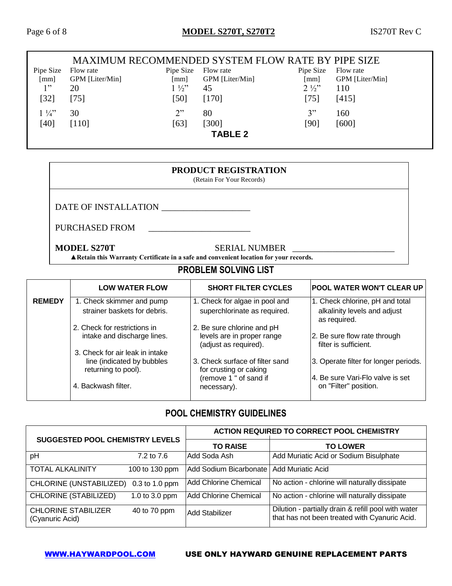#### MAXIMUM RECOMMENDED SYSTEM FLOW RATE BY PIPE SIZE Pipe Size Flow rate [mm] GPM [Liter/Min] Pipe Size Flow rate [mm] GPM [Liter/Min] Pipe Size Flow rate [mm] GPM [Liter/Min]  $1"$ [32] 20 [75]  $1\frac{1}{2}$ [50] [170] 45  $2\frac{1}{2}$ [75] 110 [415]  $1\frac{1}{4}$ " [40] 30 [110]  $2"$ [63] 80 [300] 3" [90] 160 [600] **TABLE 2**

# **PRODUCT REGISTRATION**

(Retain For Your Records)

DATE OF INSTALLATION \_\_\_\_\_\_\_\_\_\_\_\_\_\_\_\_\_\_\_\_

PURCHASED FROM \_\_\_\_\_\_\_\_\_\_\_\_\_\_\_\_\_\_\_\_\_\_\_

**MODEL S270T SERIAL NUMBER** 

**▲Retain this Warranty Certificate in a safe and convenient location for your records.** 

# **PROBLEM SOLVING LIST**

|               | <b>LOW WATER FLOW</b>                                                                | <b>SHORT FILTER CYCLES</b>                                                        | <b>POOL WATER WON'T CLEAR UP</b>                                                |
|---------------|--------------------------------------------------------------------------------------|-----------------------------------------------------------------------------------|---------------------------------------------------------------------------------|
| <b>REMEDY</b> | 1. Check skimmer and pump<br>strainer baskets for debris.                            | 1. Check for algae in pool and<br>superchlorinate as required.                    | 1. Check chlorine, pH and total<br>alkalinity levels and adjust<br>as required. |
|               | 2. Check for restrictions in<br>intake and discharge lines.                          | 2. Be sure chlorine and pH<br>levels are in proper range<br>(adjust as required). | 2. Be sure flow rate through<br>filter is sufficient.                           |
|               | 3. Check for air leak in intake<br>line (indicated by bubbles<br>returning to pool). | 3. Check surface of filter sand<br>for crusting or caking                         | 3. Operate filter for longer periods.                                           |
|               | 4. Backwash filter.                                                                  | (remove 1 " of sand if<br>necessary).                                             | 4. Be sure Vari-Flo valve is set<br>on "Filter" position.                       |

# **POOL CHEMISTRY GUIDELINES**

|                                               |                  | <b>ACTION REQUIRED TO CORRECT POOL CHEMISTRY</b> |                                                                                                      |  |  |
|-----------------------------------------------|------------------|--------------------------------------------------|------------------------------------------------------------------------------------------------------|--|--|
| <b>SUGGESTED POOL CHEMISTRY LEVELS</b>        |                  | <b>TO RAISE</b>                                  | <b>TO LOWER</b>                                                                                      |  |  |
| pH                                            | 7.2 to 7.6       | Add Soda Ash                                     | Add Muriatic Acid or Sodium Bisulphate                                                               |  |  |
| <b>TOTAL ALKALINITY</b>                       | 100 to 130 ppm   | Add Sodium Bicarbonate                           | Add Muriatic Acid                                                                                    |  |  |
| CHLORINE (UNSTABILIZED)                       | $0.3$ to 1.0 ppm | <b>Add Chlorine Chemical</b>                     | No action - chlorine will naturally dissipate                                                        |  |  |
| <b>CHLORINE (STABILIZED)</b>                  | 1.0 to 3.0 ppm   | <b>Add Chlorine Chemical</b>                     | No action - chlorine will naturally dissipate                                                        |  |  |
| <b>CHLORINE STABILIZER</b><br>(Cyanuric Acid) | 40 to 70 ppm     | Add Stabilizer                                   | Dilution - partially drain & refill pool with water<br>that has not been treated with Cyanuric Acid. |  |  |

# [WWW.HAYWARDPOOL.COM](http://www.haywardpool.com/) USE ONLY HAYWARD GENUINE REPLACEMENT PARTS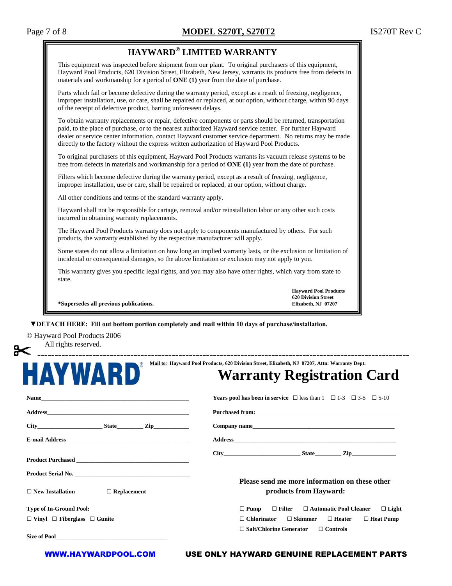| Page 7 of 8 |  |  |
|-------------|--|--|
|             |  |  |

| HAYWARD® LIMITED WARRANTY                                                                                                                                                                                                                                                                                                                                                                                                           |                                                                                   |  |  |  |  |
|-------------------------------------------------------------------------------------------------------------------------------------------------------------------------------------------------------------------------------------------------------------------------------------------------------------------------------------------------------------------------------------------------------------------------------------|-----------------------------------------------------------------------------------|--|--|--|--|
| This equipment was inspected before shipment from our plant. To original purchasers of this equipment,<br>Hayward Pool Products, 620 Division Street, Elizabeth, New Jersey, warrants its products free from defects in<br>materials and workmanship for a period of $\overline{ONE}$ (1) year from the date of purchase.                                                                                                           |                                                                                   |  |  |  |  |
| Parts which fail or become defective during the warranty period, except as a result of freezing, negligence,<br>improper installation, use, or care, shall be repaired or replaced, at our option, without charge, within 90 days<br>of the receipt of defective product, barring unforeseen delays.                                                                                                                                |                                                                                   |  |  |  |  |
| To obtain warranty replacements or repair, defective components or parts should be returned, transportation<br>paid, to the place of purchase, or to the nearest authorized Hayward service center. For further Hayward<br>dealer or service center information, contact Hayward customer service department. No returns may be made<br>directly to the factory without the express written authorization of Hayward Pool Products. |                                                                                   |  |  |  |  |
| To original purchasers of this equipment, Hayward Pool Products warrants its vacuum release systems to be<br>free from defects in materials and workmanship for a period of ONE (1) year from the date of purchase.                                                                                                                                                                                                                 |                                                                                   |  |  |  |  |
| Filters which become defective during the warranty period, except as a result of freezing, negligence,<br>improper installation, use or care, shall be repaired or replaced, at our option, without charge.                                                                                                                                                                                                                         |                                                                                   |  |  |  |  |
| All other conditions and terms of the standard warranty apply.                                                                                                                                                                                                                                                                                                                                                                      |                                                                                   |  |  |  |  |
| Hayward shall not be responsible for cartage, removal and/or reinstallation labor or any other such costs<br>incurred in obtaining warranty replacements.                                                                                                                                                                                                                                                                           |                                                                                   |  |  |  |  |
| The Hayward Pool Products warranty does not apply to components manufactured by others. For such<br>products, the warranty established by the respective manufacturer will apply.                                                                                                                                                                                                                                                   |                                                                                   |  |  |  |  |
| Some states do not allow a limitation on how long an implied warranty lasts, or the exclusion or limitation of<br>incidental or consequential damages, so the above limitation or exclusion may not apply to you.                                                                                                                                                                                                                   |                                                                                   |  |  |  |  |
| This warranty gives you specific legal rights, and you may also have other rights, which vary from state to<br>state.                                                                                                                                                                                                                                                                                                               |                                                                                   |  |  |  |  |
| *Supersedes all previous publications.                                                                                                                                                                                                                                                                                                                                                                                              | <b>Havward Pool Products</b><br><b>620 Division Street</b><br>Elizabeth, NJ 07207 |  |  |  |  |



# **Mail to**: **Hayward Pool Products, 620 Division Street, Elizabeth, NJ 07207, Attn: Warranty Dept. Warranty Registration Card**

| Name                                          | <b>Years pool has been in service</b> $\Box$ less than $1 \Box 1-3 \Box 3-5 \Box 5-10$                                                                                                                                         |
|-----------------------------------------------|--------------------------------------------------------------------------------------------------------------------------------------------------------------------------------------------------------------------------------|
|                                               | Purchased from: Note and the set of the set of the set of the set of the set of the set of the set of the set of the set of the set of the set of the set of the set of the set of the set of the set of the set of the set of |
| City State Zip                                | Company name                                                                                                                                                                                                                   |
|                                               |                                                                                                                                                                                                                                |
|                                               | $City$ $City$ $Step$ $Line$ $Zip$                                                                                                                                                                                              |
|                                               | Please send me more information on these other                                                                                                                                                                                 |
| $\Box$ New Installation<br>$\Box$ Replacement | products from Hayward:                                                                                                                                                                                                         |
| <b>Type of In-Ground Pool:</b>                | $\Box$ Light<br>$\Box$ Filter $\Box$ Automatic Pool Cleaner<br>$\Box$ Pump                                                                                                                                                     |
| $\Box$ Vinyl $\Box$ Fiberglass $\Box$ Gunite  | $\Box$ Chlorinator<br>$\Box$ Skimmer<br>$\Box$ Heater $\Box$ Heat Pump                                                                                                                                                         |
|                                               | $\Box$ Salt/Chlorine Generator $\Box$ Controls                                                                                                                                                                                 |
|                                               |                                                                                                                                                                                                                                |

#### [WWW.HAYWARDPOOL.COM](http://www.haywardpool.com/) USE ONLY HAYWARD GENUINE REPLACEMENT PARTS